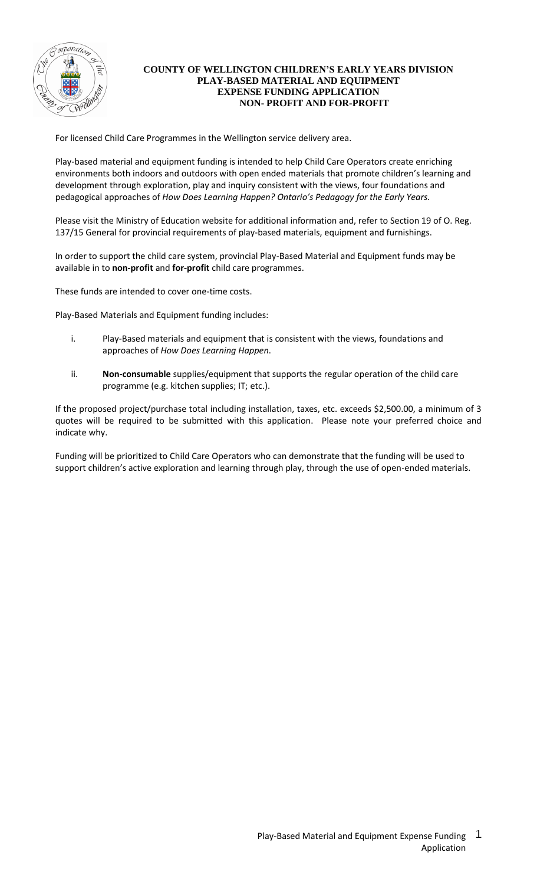

## **COUNTY OF WELLINGTON CHILDREN'S EARLY YEARS DIVISION PLAY-BASED MATERIAL AND EQUIPMENT EXPENSE FUNDING APPLICATION NON- PROFIT AND FOR-PROFIT**

For licensed Child Care Programmes in the Wellington service delivery area.

Play-based material and equipment funding is intended to help Child Care Operators create enriching environments both indoors and outdoors with open ended materials that promote children's learning and development through exploration, play and inquiry consistent with the views, four foundations and pedagogical approaches of *How Does Learning Happen? Ontario's Pedagogy for the Early Years.*

Please visit the Ministry of Education website for additional information and, refer to Section 19 of O. Reg. 137/15 General for provincial requirements of play-based materials, equipment and furnishings.

In order to support the child care system, provincial Play-Based Material and Equipment funds may be available in to **non-profit** and **for-profit** child care programmes.

These funds are intended to cover one-time costs.

Play-Based Materials and Equipment funding includes:

- i. Play-Based materials and equipment that is consistent with the views, foundations and approaches of *How Does Learning Happen*.
- ii. **Non-consumable** supplies/equipment that supports the regular operation of the child care programme (e.g. kitchen supplies; IT; etc.).

If the proposed project/purchase total including installation, taxes, etc. exceeds \$2,500.00, a minimum of 3 quotes will be required to be submitted with this application. Please note your preferred choice and indicate why.

Funding will be prioritized to Child Care Operators who can demonstrate that the funding will be used to support children's active exploration and learning through play, through the use of open-ended materials.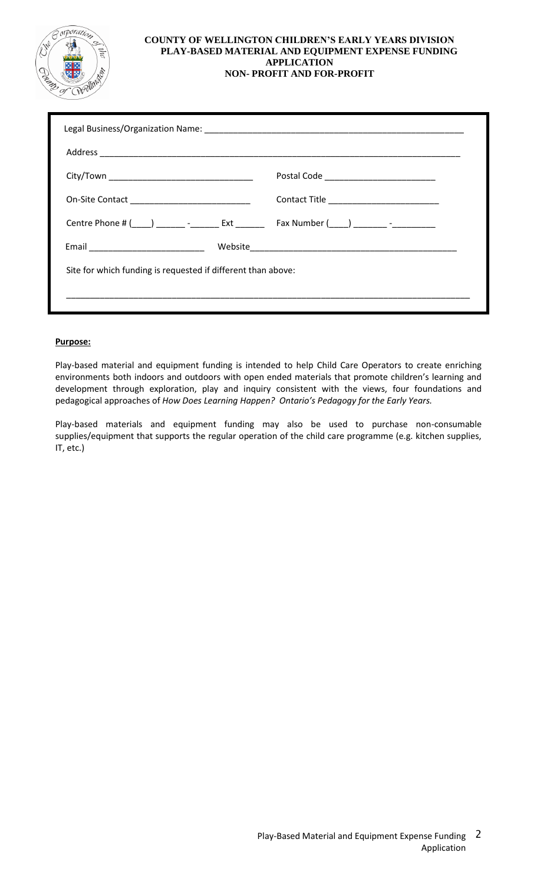

#### **COUNTY OF WELLINGTON CHILDREN'S EARLY YEARS DIVISION PLAY-BASED MATERIAL AND EQUIPMENT EXPENSE FUNDING APPLICATION NON- PROFIT AND FOR-PROFIT**

#### **Purpose:**

Play-based material and equipment funding is intended to help Child Care Operators to create enriching environments both indoors and outdoors with open ended materials that promote children's learning and development through exploration, play and inquiry consistent with the views, four foundations and pedagogical approaches of *How Does Learning Happen? Ontario's Pedagogy for the Early Years.*

Play-based materials and equipment funding may also be used to purchase non-consumable supplies/equipment that supports the regular operation of the child care programme (e.g. kitchen supplies, IT, etc.)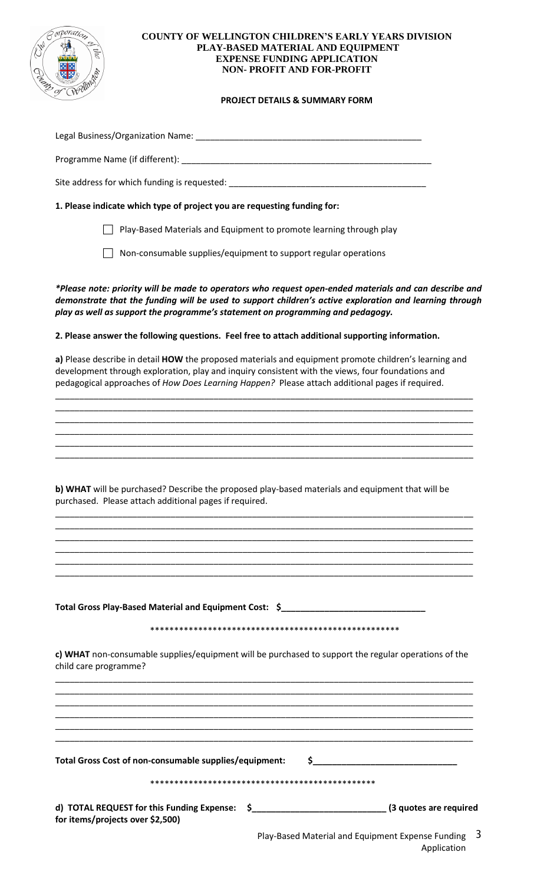

#### **COUNTY OF WELLINGTON CHILDREN'S EARLY YEARS DIVISION PLAY-BASED MATERIAL AND EQUIPMENT EXPENSE FUNDING APPLICATION NON- PROFIT AND FOR-PROFIT**

# **PROJECT DETAILS & SUMMARY FORM**

| Legal Business/Organization Name:                                        |  |  |  |
|--------------------------------------------------------------------------|--|--|--|
| Programme Name (if different):                                           |  |  |  |
| Site address for which funding is requested:                             |  |  |  |
| 1. Please indicate which type of project you are requesting funding for: |  |  |  |
| Play-Based Materials and Equipment to promote learning through play      |  |  |  |
| Non-consumable supplies/equipment to support regular operations          |  |  |  |

*\*Please note: priority will be made to operators who request open-ended materials and can describe and demonstrate that the funding will be used to support children's active exploration and learning through play as well as support the programme's statement on programming and pedagogy.*

#### **2. Please answer the following questions. Feel free to attach additional supporting information.**

**a)** Please describe in detail **HOW** the proposed materials and equipment promote children's learning and development through exploration, play and inquiry consistent with the views, four foundations and pedagogical approaches of *How Does Learning Happen?* Please attach additional pages if required.

\_\_\_\_\_\_\_\_\_\_\_\_\_\_\_\_\_\_\_\_\_\_\_\_\_\_\_\_\_\_\_\_\_\_\_\_\_\_\_\_\_\_\_\_\_\_\_\_\_\_\_\_\_\_\_\_\_\_\_\_\_\_\_\_\_\_\_\_\_\_\_\_\_\_\_\_\_\_\_\_\_\_\_\_\_\_\_ \_\_\_\_\_\_\_\_\_\_\_\_\_\_\_\_\_\_\_\_\_\_\_\_\_\_\_\_\_\_\_\_\_\_\_\_\_\_\_\_\_\_\_\_\_\_\_\_\_\_\_\_\_\_\_\_\_\_\_\_\_\_\_\_\_\_\_\_\_\_\_\_\_\_\_\_\_\_\_\_\_\_\_\_\_\_\_ \_\_\_\_\_\_\_\_\_\_\_\_\_\_\_\_\_\_\_\_\_\_\_\_\_\_\_\_\_\_\_\_\_\_\_\_\_\_\_\_\_\_\_\_\_\_\_\_\_\_\_\_\_\_\_\_\_\_\_\_\_\_\_\_\_\_\_\_\_\_\_\_\_\_\_\_\_\_\_\_\_\_\_\_\_\_\_ \_\_\_\_\_\_\_\_\_\_\_\_\_\_\_\_\_\_\_\_\_\_\_\_\_\_\_\_\_\_\_\_\_\_\_\_\_\_\_\_\_\_\_\_\_\_\_\_\_\_\_\_\_\_\_\_\_\_\_\_\_\_\_\_\_\_\_\_\_\_\_\_\_\_\_\_\_\_\_\_\_\_\_\_\_\_\_ \_\_\_\_\_\_\_\_\_\_\_\_\_\_\_\_\_\_\_\_\_\_\_\_\_\_\_\_\_\_\_\_\_\_\_\_\_\_\_\_\_\_\_\_\_\_\_\_\_\_\_\_\_\_\_\_\_\_\_\_\_\_\_\_\_\_\_\_\_\_\_\_\_\_\_\_\_\_\_\_\_\_\_\_\_\_\_ \_\_\_\_\_\_\_\_\_\_\_\_\_\_\_\_\_\_\_\_\_\_\_\_\_\_\_\_\_\_\_\_\_\_\_\_\_\_\_\_\_\_\_\_\_\_\_\_\_\_\_\_\_\_\_\_\_\_\_\_\_\_\_\_\_\_\_\_\_\_\_\_\_\_\_\_\_\_\_\_\_\_\_\_\_\_\_

**b) WHAT** will be purchased? Describe the proposed play-based materials and equipment that will be purchased. Please attach additional pages if required.

\_\_\_\_\_\_\_\_\_\_\_\_\_\_\_\_\_\_\_\_\_\_\_\_\_\_\_\_\_\_\_\_\_\_\_\_\_\_\_\_\_\_\_\_\_\_\_\_\_\_\_\_\_\_\_\_\_\_\_\_\_\_\_\_\_\_\_\_\_\_\_\_\_\_\_\_\_\_\_\_\_\_\_\_\_\_\_ \_\_\_\_\_\_\_\_\_\_\_\_\_\_\_\_\_\_\_\_\_\_\_\_\_\_\_\_\_\_\_\_\_\_\_\_\_\_\_\_\_\_\_\_\_\_\_\_\_\_\_\_\_\_\_\_\_\_\_\_\_\_\_\_\_\_\_\_\_\_\_\_\_\_\_\_\_\_\_\_\_\_\_\_\_\_\_ \_\_\_\_\_\_\_\_\_\_\_\_\_\_\_\_\_\_\_\_\_\_\_\_\_\_\_\_\_\_\_\_\_\_\_\_\_\_\_\_\_\_\_\_\_\_\_\_\_\_\_\_\_\_\_\_\_\_\_\_\_\_\_\_\_\_\_\_\_\_\_\_\_\_\_\_\_\_\_\_\_\_\_\_\_\_\_ \_\_\_\_\_\_\_\_\_\_\_\_\_\_\_\_\_\_\_\_\_\_\_\_\_\_\_\_\_\_\_\_\_\_\_\_\_\_\_\_\_\_\_\_\_\_\_\_\_\_\_\_\_\_\_\_\_\_\_\_\_\_\_\_\_\_\_\_\_\_\_\_\_\_\_\_\_\_\_\_\_\_\_\_\_\_\_ \_\_\_\_\_\_\_\_\_\_\_\_\_\_\_\_\_\_\_\_\_\_\_\_\_\_\_\_\_\_\_\_\_\_\_\_\_\_\_\_\_\_\_\_\_\_\_\_\_\_\_\_\_\_\_\_\_\_\_\_\_\_\_\_\_\_\_\_\_\_\_\_\_\_\_\_\_\_\_\_\_\_\_\_\_\_\_ \_\_\_\_\_\_\_\_\_\_\_\_\_\_\_\_\_\_\_\_\_\_\_\_\_\_\_\_\_\_\_\_\_\_\_\_\_\_\_\_\_\_\_\_\_\_\_\_\_\_\_\_\_\_\_\_\_\_\_\_\_\_\_\_\_\_\_\_\_\_\_\_\_\_\_\_\_\_\_\_\_\_\_\_\_\_\_

| child care programme? | c) WHAT non-consumable supplies/equipment will be purchased to support the regular operations of the |
|-----------------------|------------------------------------------------------------------------------------------------------|
|                       |                                                                                                      |

**Total Gross Play-Based Material and Equipment Cost: \$\_\_\_\_\_\_\_\_\_\_\_\_\_\_\_\_\_\_\_\_\_\_\_\_\_\_\_\_\_\_**

| Total Gross Cost of non-consumable supplies/equipment:                            |  |                        |
|-----------------------------------------------------------------------------------|--|------------------------|
| d) TOTAL REQUEST for this Funding Expense: \$<br>for items/projects over \$2,500) |  | (3 quotes are required |

\_\_\_\_\_\_\_\_\_\_\_\_\_\_\_\_\_\_\_\_\_\_\_\_\_\_\_\_\_\_\_\_\_\_\_\_\_\_\_\_\_\_\_\_\_\_\_\_\_\_\_\_\_\_\_\_\_\_\_\_\_\_\_\_\_\_\_\_\_\_\_\_\_\_\_\_\_\_\_\_\_\_\_\_\_\_\_ \_\_\_\_\_\_\_\_\_\_\_\_\_\_\_\_\_\_\_\_\_\_\_\_\_\_\_\_\_\_\_\_\_\_\_\_\_\_\_\_\_\_\_\_\_\_\_\_\_\_\_\_\_\_\_\_\_\_\_\_\_\_\_\_\_\_\_\_\_\_\_\_\_\_\_\_\_\_\_\_\_\_\_\_\_\_\_

> Play-Based Material and Equipment Expense Funding 3 Application